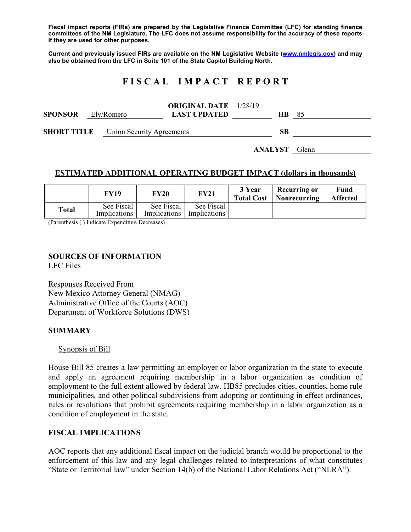**Fiscal impact reports (FIRs) are prepared by the Legislative Finance Committee (LFC) for standing finance committees of the NM Legislature. The LFC does not assume responsibility for the accuracy of these reports if they are used for other purposes.** 

**Current and previously issued FIRs are available on the NM Legislative Website (www.nmlegis.gov) and may also be obtained from the LFC in Suite 101 of the State Capitol Building North.** 

# **F I S C A L I M P A C T R E P O R T**

| <b>SPONSOR</b>     | Ely/Romero |                           | <b>ORIGINAL DATE</b> 1/28/19<br><b>LAST UPDATED</b> | HB. | - 85 |
|--------------------|------------|---------------------------|-----------------------------------------------------|-----|------|
| <b>SHORT TITLE</b> |            | Union Security Agreements |                                                     | SВ  |      |

**ANALYST** Glenn

## **ESTIMATED ADDITIONAL OPERATING BUDGET IMPACT (dollars in thousands)**

|       | FY19                       | <b>FY20</b>                | <b>FY21</b>                | 3 Year<br><b>Total Cost</b> | Recurring or<br>Nonrecurring | Fund<br><b>Affected</b> |
|-------|----------------------------|----------------------------|----------------------------|-----------------------------|------------------------------|-------------------------|
| Total | See Fiscal<br>Implications | See Fiscal<br>Implications | See Fiscal<br>Implications |                             |                              |                         |

(Parenthesis ( ) Indicate Expenditure Decreases)

### **SOURCES OF INFORMATION**

LFC Files

Responses Received From New Mexico Attorney General (NMAG) Administrative Office of the Courts (AOC) Department of Workforce Solutions (DWS)

### **SUMMARY**

Synopsis of Bill

House Bill 85 creates a law permitting an employer or labor organization in the state to execute and apply an agreement requiring membership in a labor organization as condition of employment to the full extent allowed by federal law. HB85 precludes cities, counties, home rule municipalities, and other political subdivisions from adopting or continuing in effect ordinances, rules or resolutions that prohibit agreements requiring membership in a labor organization as a condition of employment in the state.

### **FISCAL IMPLICATIONS**

AOC reports that any additional fiscal impact on the judicial branch would be proportional to the enforcement of this law and any legal challenges related to interpretations of what constitutes "State or Territorial law" under Section 14(b) of the National Labor Relations Act ("NLRA").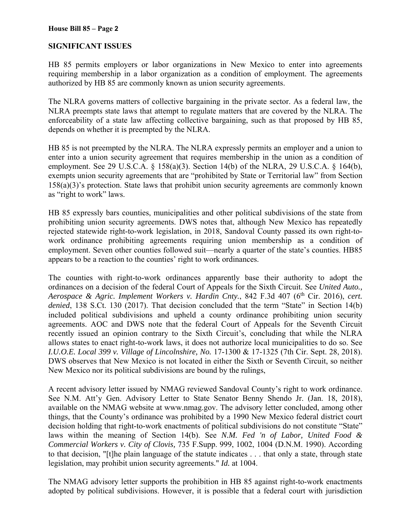## **SIGNIFICANT ISSUES**

HB 85 permits employers or labor organizations in New Mexico to enter into agreements requiring membership in a labor organization as a condition of employment. The agreements authorized by HB 85 are commonly known as union security agreements.

The NLRA governs matters of collective bargaining in the private sector. As a federal law, the NLRA preempts state laws that attempt to regulate matters that are covered by the NLRA. The enforceability of a state law affecting collective bargaining, such as that proposed by HB 85, depends on whether it is preempted by the NLRA.

HB 85 is not preempted by the NLRA. The NLRA expressly permits an employer and a union to enter into a union security agreement that requires membership in the union as a condition of employment. See 29 U.S.C.A. § 158(a)(3). Section 14(b) of the NLRA, 29 U.S.C.A. § 164(b), exempts union security agreements that are "prohibited by State or Territorial law" from Section 158(a)(3)'s protection. State laws that prohibit union security agreements are commonly known as "right to work" laws.

HB 85 expressly bars counties, municipalities and other political subdivisions of the state from prohibiting union security agreements. DWS notes that, although New Mexico has repeatedly rejected statewide right-to-work legislation, in 2018, Sandoval County passed its own right-towork ordinance prohibiting agreements requiring union membership as a condition of employment. Seven other counties followed suit—nearly a quarter of the state's counties. HB85 appears to be a reaction to the counties' right to work ordinances.

The counties with right-to-work ordinances apparently base their authority to adopt the ordinances on a decision of the federal Court of Appeals for the Sixth Circuit. See *United Auto., Aerospace & Agric. Implement Workers v. Hardin Cnty., 842 F.3d 407 (6<sup>th</sup> Cir. 2016), cert. denied*, 138 S.Ct. 130 (2017). That decision concluded that the term "State" in Section 14(b) included political subdivisions and upheld a county ordinance prohibiting union security agreements. AOC and DWS note that the federal Court of Appeals for the Seventh Circuit recently issued an opinion contrary to the Sixth Circuit's, concluding that while the NLRA allows states to enact right-to-work laws, it does not authorize local municipalities to do so. See *I.U.O.E. Local 399 v. Village of Lincolnshire, No.* 17-1300 & 17-1325 (7th Cir. Sept. 28, 2018). DWS observes that New Mexico is not located in either the Sixth or Seventh Circuit, so neither New Mexico nor its political subdivisions are bound by the rulings,

A recent advisory letter issued by NMAG reviewed Sandoval County's right to work ordinance. See N.M. Att'y Gen. Advisory Letter to State Senator Benny Shendo Jr. (Jan. 18, 2018), available on the NMAG website at www.nmag.gov. The advisory letter concluded, among other things, that the County's ordinance was prohibited by a 1990 New Mexico federal district court decision holding that right-to-work enactments of political subdivisions do not constitute "State" laws within the meaning of Section 14(b). See *N.M. Fed 'n of Labor, United Food & Commercial Workers v. City of Clovis,* 735 F.Supp. 999, 1002, 1004 (D.N.M. 1990). According to that decision, "[t]he plain language of the statute indicates . . . that only a state, through state legislation, may prohibit union security agreements." *Id.* at 1004.

The NMAG advisory letter supports the prohibition in HB 85 against right-to-work enactments adopted by political subdivisions. However, it is possible that a federal court with jurisdiction